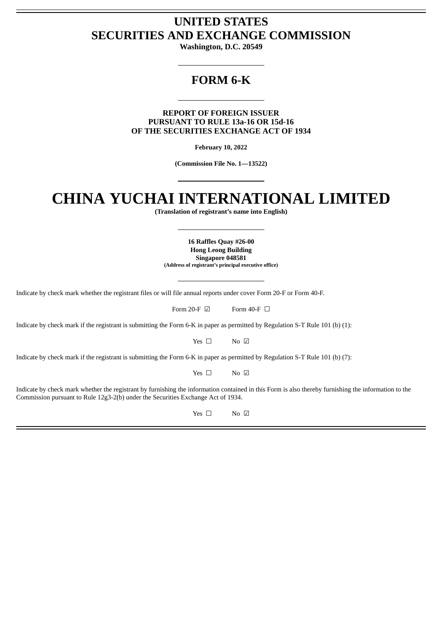# **UNITED STATES SECURITIES AND EXCHANGE COMMISSION**

**Washington, D.C. 20549**

# **FORM 6-K**

**REPORT OF FOREIGN ISSUER PURSUANT TO RULE 13a-16 OR 15d-16 OF THE SECURITIES EXCHANGE ACT OF 1934**

**February 10, 2022**

**(Commission File No. 1—13522)**

# **CHINA YUCHAI INTERNATIONAL LIMITED**

**(Translation of registrant's name into English)**

**16 Raffles Quay #26-00 Hong Leong Building Singapore 048581 (Address of registrant's principal executive office)**

Indicate by check mark whether the registrant files or will file annual reports under cover Form 20-F or Form 40-F.

Form 20-F  $\boxdot$  Form 40-F  $\Box$ 

Indicate by check mark if the registrant is submitting the Form 6-K in paper as permitted by Regulation S-T Rule 101 (b) (1):

Yes □ No ☑

Indicate by check mark if the registrant is submitting the Form 6-K in paper as permitted by Regulation S-T Rule 101 (b) (7):

Yes □ No ☑

Indicate by check mark whether the registrant by furnishing the information contained in this Form is also thereby furnishing the information to the Commission pursuant to Rule 12g3-2(b) under the Securities Exchange Act of 1934.

Yes □ No ☑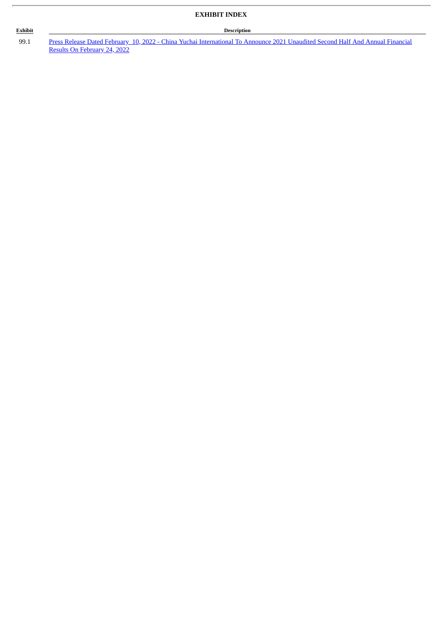### **Exhibit Description**

99.1 Press Release Dated February 10, 2022 - China Yuchai [International](#page-3-0) To Announce 2021 Unaudited Second Half And Annual Financial Results On February 24, 2022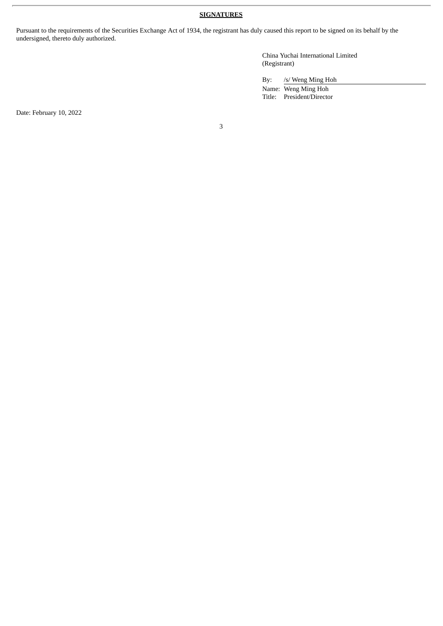## **SIGNATURES**

Pursuant to the requirements of the Securities Exchange Act of 1934, the registrant has duly caused this report to be signed on its behalf by the undersigned, thereto duly authorized.

> China Yuchai International Limited (Registrant)

By: /s/ Weng Ming Hoh

Name: Weng Ming Hoh Title: President/Director

Date: February 10, 2022

3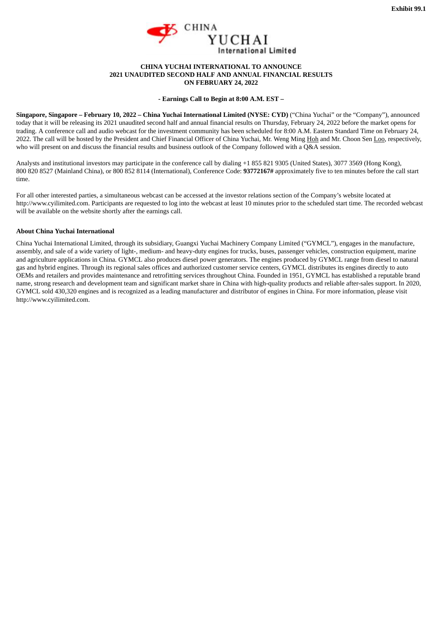

#### **CHINA YUCHAI INTERNATIONAL TO ANNOUNCE 2021 UNAUDITED SECOND HALF AND ANNUAL FINANCIAL RESULTS ON FEBRUARY 24, 2022**

#### **- Earnings Call to Begin at 8:00 A.M. EST –**

<span id="page-3-0"></span>Singapore, Singapore – February 10, 2022 – China Yuchai International Limited (NYSE: CYD) ("China Yuchai" or the "Company"), announced today that it will be releasing its 2021 unaudited second half and annual financial results on Thursday, February 24, 2022 before the market opens for trading. A conference call and audio webcast for the investment community has been scheduled for 8:00 A.M. Eastern Standard Time on February 24, 2022. The call will be hosted by the President and Chief Financial Officer of China Yuchai, Mr. Weng Ming Hoh and Mr. Choon Sen Loo, respectively, who will present on and discuss the financial results and business outlook of the Company followed with a Q&A session.

Analysts and institutional investors may participate in the conference call by dialing +1 855 821 9305 (United States), 3077 3569 (Hong Kong), 800 820 8527 (Mainland China), or 800 852 8114 (International), Conference Code: **93772167#** approximately five to ten minutes before the call start time.

For all other interested parties, a simultaneous webcast can be accessed at the investor relations section of the Company's website located at http://www.cyilimited.com. Participants are requested to log into the webcast at least 10 minutes prior to the scheduled start time. The recorded webcast will be available on the website shortly after the earnings call.

#### **About China Yuchai International**

China Yuchai International Limited, through its subsidiary, Guangxi Yuchai Machinery Company Limited ("GYMCL"), engages in the manufacture, assembly, and sale of a wide variety of light-, medium- and heavy-duty engines for trucks, buses, passenger vehicles, construction equipment, marine and agriculture applications in China. GYMCL also produces diesel power generators. The engines produced by GYMCL range from diesel to natural gas and hybrid engines. Through its regional sales offices and authorized customer service centers, GYMCL distributes its engines directly to auto OEMs and retailers and provides maintenance and retrofitting services throughout China. Founded in 1951, GYMCL has established a reputable brand name, strong research and development team and significant market share in China with high-quality products and reliable after-sales support. In 2020, GYMCL sold 430,320 engines and is recognized as a leading manufacturer and distributor of engines in China. For more information, please visit http://www.cyilimited.com.